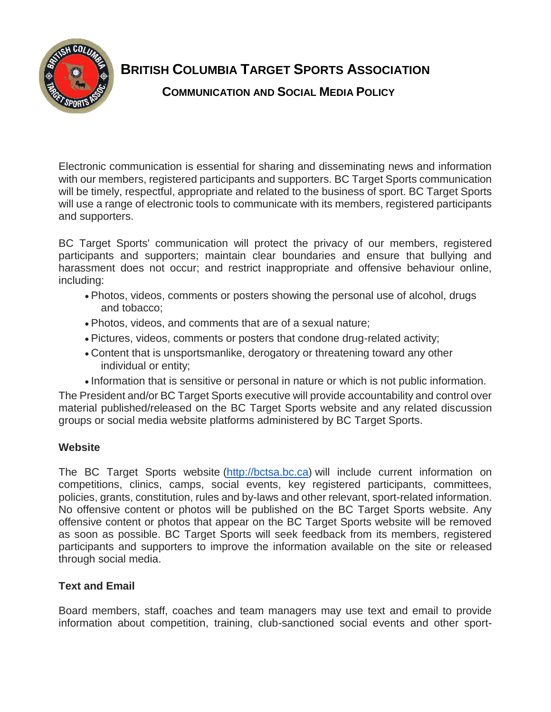

# **BRITISH COLUMBIA TARGET SPORTS ASSOCIATION**

**COMMUNICATION AND SOCIAL MEDIA POLICY**

Electronic communication is essential for sharing and disseminating news and information with our members, registered participants and supporters. BC Target Sports communication will be timely, respectful, appropriate and related to the business of sport. BC Target Sports will use a range of electronic tools to communicate with its members, registered participants and supporters.

BC Target Sports' communication will protect the privacy of our members, registered participants and supporters; maintain clear boundaries and ensure that bullying and harassment does not occur; and restrict inappropriate and offensive behaviour online, including:

- Photos, videos, comments or posters showing the personal use of alcohol, drugs and tobacco;
- Photos, videos, and comments that are of a sexual nature;
- Pictures, videos, comments or posters that condone drug-related activity;
- Content that is unsportsmanlike, derogatory or threatening toward any other individual or entity;
- Information that is sensitive or personal in nature or which is not public information.

The President and/or BC Target Sports executive will provide accountability and control over material published/released on the BC Target Sports website and any related discussion groups or social media website platforms administered by BC Target Sports.

# **Website**

The BC Target Sports website [\(http://bctsa.bc.ca\)](http://bctsa.bc.ca/) will include current information on competitions, clinics, camps, social events, key registered participants, committees, policies, grants, constitution, rules and by-laws and other relevant, sport-related information. No offensive content or photos will be published on the BC Target Sports website. Any offensive content or photos that appear on the BC Target Sports website will be removed as soon as possible. BC Target Sports will seek feedback from its members, registered participants and supporters to improve the information available on the site or released through social media.

# **Text and Email**

Board members, staff, coaches and team managers may use text and email to provide information about competition, training, club-sanctioned social events and other sport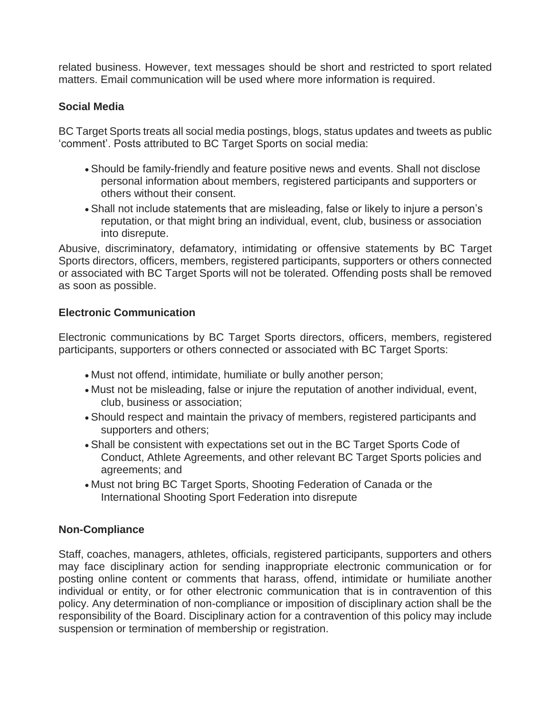related business. However, text messages should be short and restricted to sport related matters. Email communication will be used where more information is required.

## **Social Media**

BC Target Sports treats all social media postings, blogs, status updates and tweets as public 'comment'. Posts attributed to BC Target Sports on social media:

- Should be family-friendly and feature positive news and events. Shall not disclose personal information about members, registered participants and supporters or others without their consent.
- Shall not include statements that are misleading, false or likely to injure a person's reputation, or that might bring an individual, event, club, business or association into disrepute.

Abusive, discriminatory, defamatory, intimidating or offensive statements by BC Target Sports directors, officers, members, registered participants, supporters or others connected or associated with BC Target Sports will not be tolerated. Offending posts shall be removed as soon as possible.

## **Electronic Communication**

Electronic communications by BC Target Sports directors, officers, members, registered participants, supporters or others connected or associated with BC Target Sports:

- Must not offend, intimidate, humiliate or bully another person;
- Must not be misleading, false or injure the reputation of another individual, event, club, business or association;
- Should respect and maintain the privacy of members, registered participants and supporters and others;
- Shall be consistent with expectations set out in the BC Target Sports Code of Conduct, Athlete Agreements, and other relevant BC Target Sports policies and agreements; and
- Must not bring BC Target Sports, Shooting Federation of Canada or the International Shooting Sport Federation into disrepute

## **Non-Compliance**

Staff, coaches, managers, athletes, officials, registered participants, supporters and others may face disciplinary action for sending inappropriate electronic communication or for posting online content or comments that harass, offend, intimidate or humiliate another individual or entity, or for other electronic communication that is in contravention of this policy. Any determination of non-compliance or imposition of disciplinary action shall be the responsibility of the Board. Disciplinary action for a contravention of this policy may include suspension or termination of membership or registration.